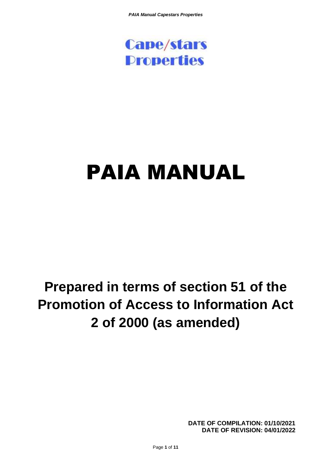

# PAIA MANUAL

# **Prepared in terms of section 51 of the Promotion of Access to Information Act 2 of 2000 (as amended)**

**DATE OF COMPILATION: 01/10/2021 DATE OF REVISION: 04/01/2022**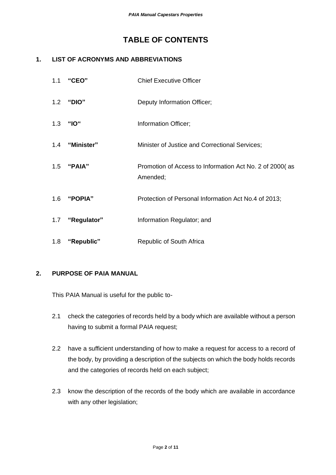# **TABLE OF CONTENTS**

## **1. LIST OF ACRONYMS AND ABBREVIATIONS**

| 1.1 | "CEO"           | <b>Chief Executive Officer</b>                                      |
|-----|-----------------|---------------------------------------------------------------------|
|     | 1.2 "DIO"       | Deputy Information Officer;                                         |
| 1.3 | "IO"            | Information Officer;                                                |
|     | 1.4 "Minister"  | Minister of Justice and Correctional Services;                      |
|     | 1.5 "PAIA"      | Promotion of Access to Information Act No. 2 of 2000(as<br>Amended; |
|     | 1.6 "POPIA"     | Protection of Personal Information Act No.4 of 2013;                |
|     | 1.7 "Regulator" | Information Regulator; and                                          |
| 1.8 | "Republic"      | Republic of South Africa                                            |

#### **2. PURPOSE OF PAIA MANUAL**

This PAIA Manual is useful for the public to-

- 2.1 check the categories of records held by a body which are available without a person having to submit a formal PAIA request;
- 2.2 have a sufficient understanding of how to make a request for access to a record of the body, by providing a description of the subjects on which the body holds records and the categories of records held on each subject;
- 2.3 know the description of the records of the body which are available in accordance with any other legislation;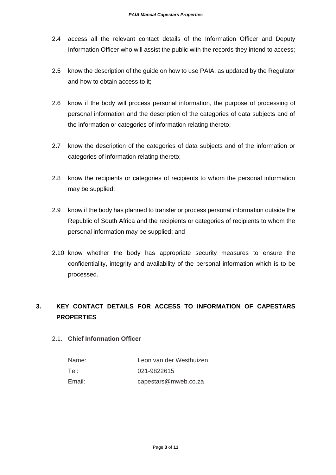- 2.4 access all the relevant contact details of the Information Officer and Deputy Information Officer who will assist the public with the records they intend to access;
- 2.5 know the description of the guide on how to use PAIA, as updated by the Regulator and how to obtain access to it;
- 2.6 know if the body will process personal information, the purpose of processing of personal information and the description of the categories of data subjects and of the information or categories of information relating thereto;
- 2.7 know the description of the categories of data subjects and of the information or categories of information relating thereto;
- 2.8 know the recipients or categories of recipients to whom the personal information may be supplied;
- 2.9 know if the body has planned to transfer or process personal information outside the Republic of South Africa and the recipients or categories of recipients to whom the personal information may be supplied; and
- 2.10 know whether the body has appropriate security measures to ensure the confidentiality, integrity and availability of the personal information which is to be processed.

# **3. KEY CONTACT DETAILS FOR ACCESS TO INFORMATION OF CAPESTARS PROPERTIES**

#### 2.1. **Chief Information Officer**

| Name:  | Leon van der Westhuizen |
|--------|-------------------------|
| Tel:   | 021-9822615             |
| Email: | capestars@mweb.co.za    |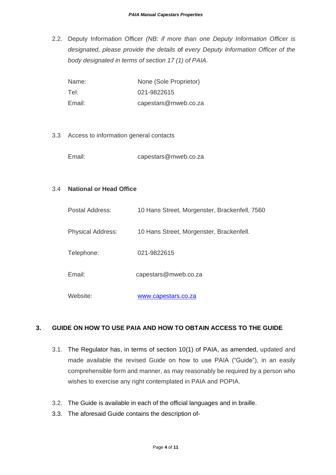2.2. Deputy Information Officer *(NB: if more than one Deputy Information Officer is designated, please provide the details* of *every Deputy Information Officer of the body designated in terms of section 17 (1) of PAIA.*

| Name:  | None (Sole Proprietor) |
|--------|------------------------|
| Tel:   | 021-9822615            |
| Email: | capestars@mweb.co.za   |

3.3 Access to information general contacts

Email: capestars@mweb.co.za

#### 3.4 **National or Head Office**

| Postal Address:          | 10 Hans Street, Morgenster, Brackenfell, 7560 |
|--------------------------|-----------------------------------------------|
| <b>Physical Address:</b> | 10 Hans Street, Morgenster, Brackenfell.      |
| Telephone:               | 021-9822615                                   |
| Email:                   | capestars@mweb.co.za                          |
| Website:                 | www.capestars.co.za                           |

# **3. GUIDE ON HOW TO USE PAIA AND HOW TO OBTAIN ACCESS TO THE GUIDE**

- 3.1. The Regulator has, in terms of section 10(1) of PAIA, as amended, updated and made available the revised Guide on how to use PAIA ("Guide"), in an easily comprehensible form and manner, as may reasonably be required by a person who wishes to exercise any right contemplated in PAIA and POPIA.
- 3.2. The Guide is available in each of the official languages and in braille.
- 3.3. The aforesaid Guide contains the description of-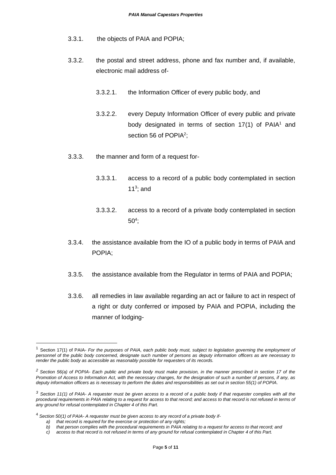- 3.3.1. the objects of PAIA and POPIA;
- 3.3.2. the postal and street address, phone and fax number and, if available, electronic mail address of-
	- 3.3.2.1. the Information Officer of every public body, and
	- 3.3.2.2. every Deputy Information Officer of every public and private body designated in terms of section  $17(1)$  of PAIA<sup>1</sup> and section 56 of POPIA<sup>2</sup>;
- 3.3.3. the manner and form of a request for-
	- 3.3.3.1. access to a record of a public body contemplated in section 11 $3$ ; and
	- 3.3.3.2. access to a record of a private body contemplated in section  $50<sup>4</sup>$ ;
- 3.3.4. the assistance available from the IO of a public body in terms of PAIA and POPIA;
- 3.3.5. the assistance available from the Regulator in terms of PAIA and POPIA;
- 3.3.6. all remedies in law available regarding an act or failure to act in respect of a right or duty conferred or imposed by PAIA and POPIA, including the manner of lodging-

<sup>1</sup> Section 17(1) of PAIA- *For the purposes of PAIA, each public body must, subject to legislation governing the employment of personnel of the public body concerned, designate such number of persons as deputy information officers as are necessary to render the public body as accessible as reasonably possible for requesters of its records.*

*<sup>2</sup> Section 56(a) of POPIA- Each public and private body must make provision, in the manner prescribed in section 17 of the Promotion of Access to Information Act, with the necessary changes, for the designation of such a number of persons, if any, as deputy information officers as is necessary to perform the duties and responsibilities as set out in section 55(1) of POPIA.*

*<sup>3</sup> Section 11(1) of PAIA- A requester must be given access to a record of a public body if that requester complies with all the*  procedural requirements in PAIA relating to a request for access to that record; and access to that record is not refused in terms of *any ground for refusal contemplated in Chapter 4 of this Part.*

<sup>4</sup> *Section 50(1) of PAIA- A requester must be given access to any record of a private body if-*

*a) that record is required for the exercise or protection of any rights;*

*b) that person complies with the procedural requirements in PAIA relating to a request for access to that record; and*

*c) access to that record is not refused in terms of any ground for refusal contemplated in Chapter 4 of this Part.*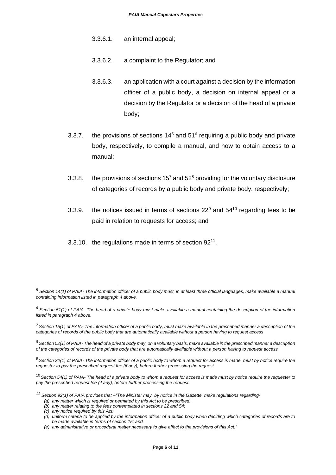- 3.3.6.1. an internal appeal;
- 3.3.6.2. a complaint to the Regulator; and
- 3.3.6.3. an application with a court against a decision by the information officer of a public body, a decision on internal appeal or a decision by the Regulator or a decision of the head of a private body;
- 3.3.7. the provisions of sections  $14<sup>5</sup>$  and  $51<sup>6</sup>$  requiring a public body and private body, respectively, to compile a manual, and how to obtain access to a manual;
- 3.3.8. the provisions of sections  $15<sup>7</sup>$  and  $52<sup>8</sup>$  providing for the voluntary disclosure of categories of records by a public body and private body, respectively;
- 3.3.9. the notices issued in terms of sections  $22^9$  and  $54^{10}$  regarding fees to be paid in relation to requests for access; and
- 3.3.10. the regulations made in terms of section  $92^{11}$ .

*(c) any notice required by this Act;*

*<sup>5</sup> Section 14(1) of PAIA- The information officer of a public body must, in at least three official languages, make available a manual containing information listed in paragraph 4 above.*

*<sup>6</sup> Section 51(1) of PAIA- The head of a private body must make available a manual containing the description of the information listed in paragraph 4 above.*

*<sup>7</sup>Section 15(1) of PAIA- The information officer of a public body, must make available in the prescribed manner a description of the categories of records of the public body that are automatically available without a person having to request access*

*<sup>8</sup> Section 52(1) of PAIA- The head of a private body may, on a voluntary basis, make available in the prescribed manner a description of the categories of records of the private body that are automatically available without a person having to request access*

*<sup>9</sup>Section 22(1) of PAIA- The information officer of a public body to whom a request for access is made, must by notice require the requester to pay the prescribed request fee (if any), before further processing the request.*

<sup>10</sup>*Section 54(1) of PAIA- The head of a private body to whom a request for access is made must by notice require the requester to pay the prescribed request fee (if any), before further processing the request.*

*<sup>11</sup> Section 92(1) of PAIA provides that –"The Minister may, by notice in the Gazette, make regulations regarding-*

*<sup>(</sup>a) any matter which is required or permitted by this Act to be prescribed;*

*<sup>(</sup>b) any matter relating to the fees contemplated in sections 22 and 54;*

*<sup>(</sup>d) uniform criteria to be applied by the information officer of a public body when deciding which categories of records are to be made available in terms of section 15; and*

*<sup>(</sup>e) any administrative or procedural matter necessary to give effect to the provisions of this Act."*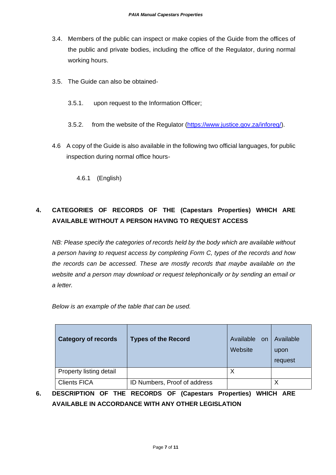- 3.4. Members of the public can inspect or make copies of the Guide from the offices of the public and private bodies, including the office of the Regulator, during normal working hours.
- 3.5. The Guide can also be obtained-
	- 3.5.1. upon request to the Information Officer;
	- 3.5.2. from the website of the Regulator [\(https://www.justice.gov.za/inforeg/\)](https://www.justice.gov.za/inforeg/).
- 4.6 A copy of the Guide is also available in the following two official languages, for public inspection during normal office hours-

4.6.1 (English)

# **4. CATEGORIES OF RECORDS OF THE (Capestars Properties) WHICH ARE AVAILABLE WITHOUT A PERSON HAVING TO REQUEST ACCESS**

*NB: Please specify the categories of records held by the body which are available without a person having to request access by completing Form C, types of the records and how the records can be accessed. These are mostly records that maybe available on the website and a person may download or request telephonically or by sending an email or a letter.* 

*Below is an example of the table that can be used.*

| <b>Category of records</b> | <b>Types of the Record</b>   | Available on<br>Website | Available<br>upon<br>request |
|----------------------------|------------------------------|-------------------------|------------------------------|
| Property listing detail    |                              | Χ                       |                              |
| <b>Clients FICA</b>        | ID Numbers, Proof of address |                         | Χ                            |

**6. DESCRIPTION OF THE RECORDS OF (Capestars Properties) WHICH ARE AVAILABLE IN ACCORDANCE WITH ANY OTHER LEGISLATION**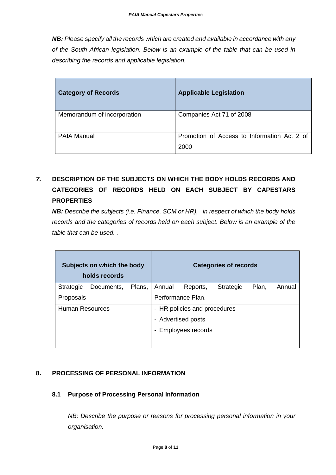*NB: Please specify all the records which are created and available in accordance with any of the South African legislation. Below is an example of the table that can be used in describing the records and applicable legislation.*

| <b>Category of Records</b>  | <b>Applicable Legislation</b>                       |
|-----------------------------|-----------------------------------------------------|
| Memorandum of incorporation | Companies Act 71 of 2008                            |
| <b>PAIA Manual</b>          | Promotion of Access to Information Act 2 of<br>2000 |

# *7.* **DESCRIPTION OF THE SUBJECTS ON WHICH THE BODY HOLDS RECORDS AND CATEGORIES OF RECORDS HELD ON EACH SUBJECT BY CAPESTARS PROPERTIES**

*NB: Describe the subjects (i.e. Finance, SCM or HR), in respect of which the body holds records and the categories of records held on each subject. Below is an example of the table that can be used. .*

|                        | Subjects on which the body<br>holds records |        |                              |                     | <b>Categories of records</b> |       |        |
|------------------------|---------------------------------------------|--------|------------------------------|---------------------|------------------------------|-------|--------|
| Strategic              | Documents,                                  | Plans, | Annual                       | Reports,            | <b>Strategic</b>             | Plan, | Annual |
| Proposals              |                                             |        |                              | Performance Plan.   |                              |       |        |
| <b>Human Resources</b> |                                             |        | - HR policies and procedures |                     |                              |       |        |
|                        |                                             |        |                              | - Advertised posts  |                              |       |        |
|                        |                                             |        |                              | - Employees records |                              |       |        |
|                        |                                             |        |                              |                     |                              |       |        |

# **8. PROCESSING OF PERSONAL INFORMATION**

#### **8.1 Purpose of Processing Personal Information**

*NB: Describe the purpose or reasons for processing personal information in your organisation.*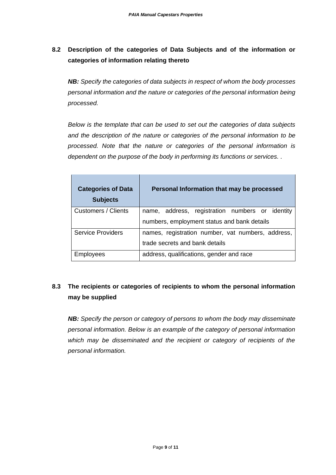# **8.2 Description of the categories of Data Subjects and of the information or categories of information relating thereto**

*NB: Specify the categories of data subjects in respect of whom the body processes personal information and the nature or categories of the personal information being processed.* 

*Below is the template that can be used to set out the categories of data subjects and the description of the nature or categories of the personal information to be processed. Note that the nature or categories of the personal information is dependent on the purpose of the body in performing its functions or services. .* 

| <b>Categories of Data</b><br><b>Subjects</b>                                  | Personal Information that may be processed      |  |
|-------------------------------------------------------------------------------|-------------------------------------------------|--|
| <b>Customers / Clients</b>                                                    | name, address, registration numbers or identity |  |
|                                                                               | numbers, employment status and bank details     |  |
| <b>Service Providers</b><br>names, registration number, vat numbers, address, |                                                 |  |
|                                                                               | trade secrets and bank details                  |  |
| Employees                                                                     | address, qualifications, gender and race        |  |

# **8.3 The recipients or categories of recipients to whom the personal information may be supplied**

*NB: Specify the person or category of persons to whom the body may disseminate personal information. Below is an example of the category of personal information which may be disseminated and the recipient or category of recipients of the personal information.*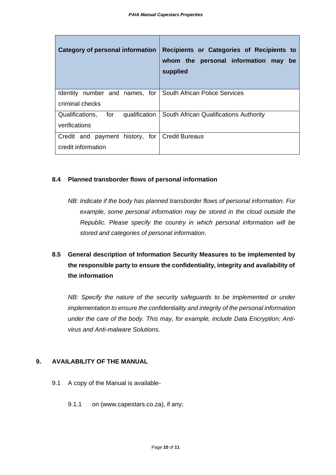| Category of personal information                 | Recipients or Categories of Recipients to<br>whom the personal information may<br>be<br>supplied |
|--------------------------------------------------|--------------------------------------------------------------------------------------------------|
| <b>Identity</b><br>number and names, for         | <b>South African Police Services</b>                                                             |
| criminal checks                                  |                                                                                                  |
| Qualifications,<br>for<br>qualification          | South African Qualifications Authority                                                           |
| verifications                                    |                                                                                                  |
| Credit and payment history, for   Credit Bureaus |                                                                                                  |
| credit information                               |                                                                                                  |

#### **8.4 Planned transborder flows of personal information**

*NB: Indicate if the body has planned transborder flows of personal information. For*  example, some personal information may be stored in the cloud outside the *Republic. Please specify the country in which personal information will be stored and categories of personal information.* 

# **8.5 General description of Information Security Measures to be implemented by the responsible party to ensure the confidentiality, integrity and availability of the information**

*NB: Specify the nature of the security safeguards to be implemented or under implementation to ensure the confidentiality and integrity of the personal information under the care of the body. This may, for example, include Data Encryption; Antivirus and Anti-malware Solutions.*

#### **9. AVAILABILITY OF THE MANUAL**

- 9.1 A copy of the Manual is available-
	- 9.1.1 on (www.capestars.co.za), if any;